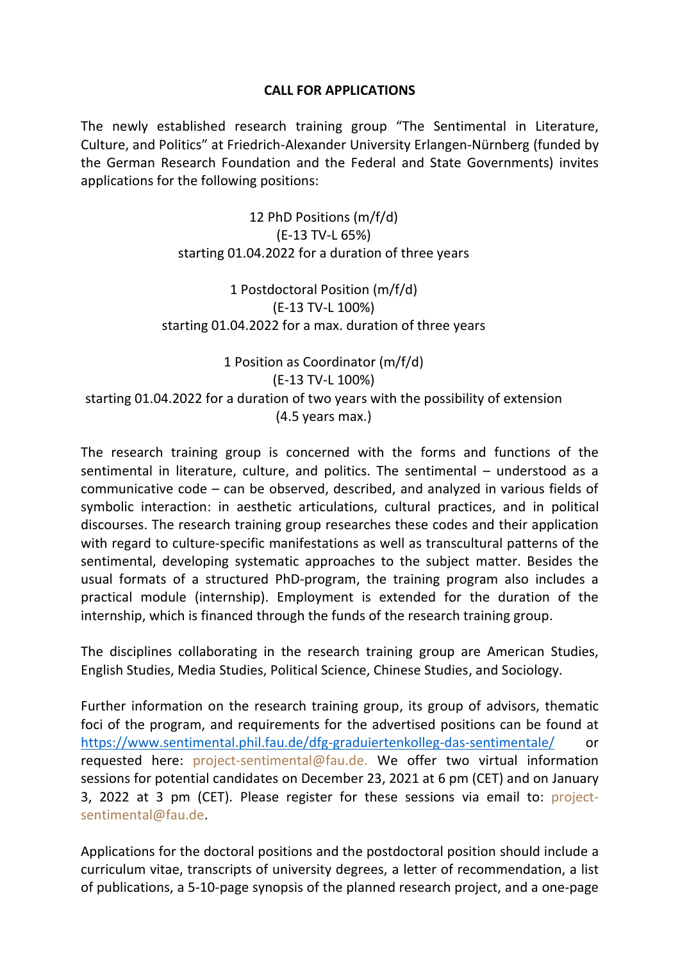## **CALL FOR APPLICATIONS**

The newly established research training group "The Sentimental in Literature, Culture, and Politics" at Friedrich-Alexander University Erlangen-Nürnberg (funded by the German Research Foundation and the Federal and State Governments) invites applications for the following positions:

> 12 PhD Positions (m/f/d) (E-13 TV-L 65%) starting 01.04.2022 for a duration of three years

1 Postdoctoral Position (m/f/d) (E-13 TV-L 100%) starting 01.04.2022 for a max. duration of three years

1 Position as Coordinator (m/f/d) (E-13 TV-L 100%) starting 01.04.2022 for a duration of two years with the possibility of extension (4.5 years max.)

The research training group is concerned with the forms and functions of the sentimental in literature, culture, and politics. The sentimental – understood as a communicative code – can be observed, described, and analyzed in various fields of symbolic interaction: in aesthetic articulations, cultural practices, and in political discourses. The research training group researches these codes and their application with regard to culture-specific manifestations as well as transcultural patterns of the sentimental, developing systematic approaches to the subject matter. Besides the usual formats of a structured PhD-program, the training program also includes a practical module (internship). Employment is extended for the duration of the internship, which is financed through the funds of the research training group.

The disciplines collaborating in the research training group are American Studies, English Studies, Media Studies, Political Science, Chinese Studies, and Sociology.

Further information on the research training group, its group of advisors, thematic foci of the program, and requirements for the advertised positions can be found at <https://www.sentimental.phil.fau.de/dfg-graduiertenkolleg-das-sentimentale/> or requested here: project-sentimental@fau.de. We offer two virtual information sessions for potential candidates on December 23, 2021 at 6 pm (CET) and on January 3, 2022 at 3 pm (CET). Please register for these sessions via email to: projectsentimental@fau.de.

Applications for the doctoral positions and the postdoctoral position should include a curriculum vitae, transcripts of university degrees, a letter of recommendation, a list of publications, a 5-10-page synopsis of the planned research project, and a one-page